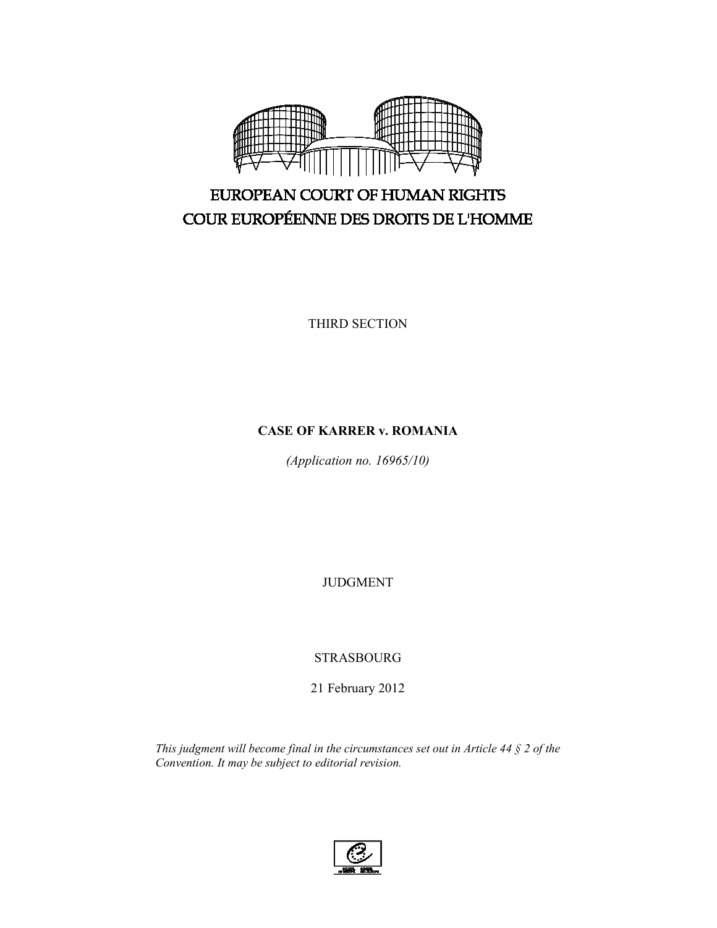

# EUROPEAN COURT OF HUMAN RIGHTS COUR EUROPÉENNE DES DROITS DE L'HOMME

THIRD SECTION

# CASE OF KARRER v. ROMANIA

(Application no. 16965/10)

JUDGMENT

STRASBOURG

21 February 2012

This judgment will become final in the circumstances set out in Article 44  $\S 2$  of the Convention. It may be subject to editorial revision.

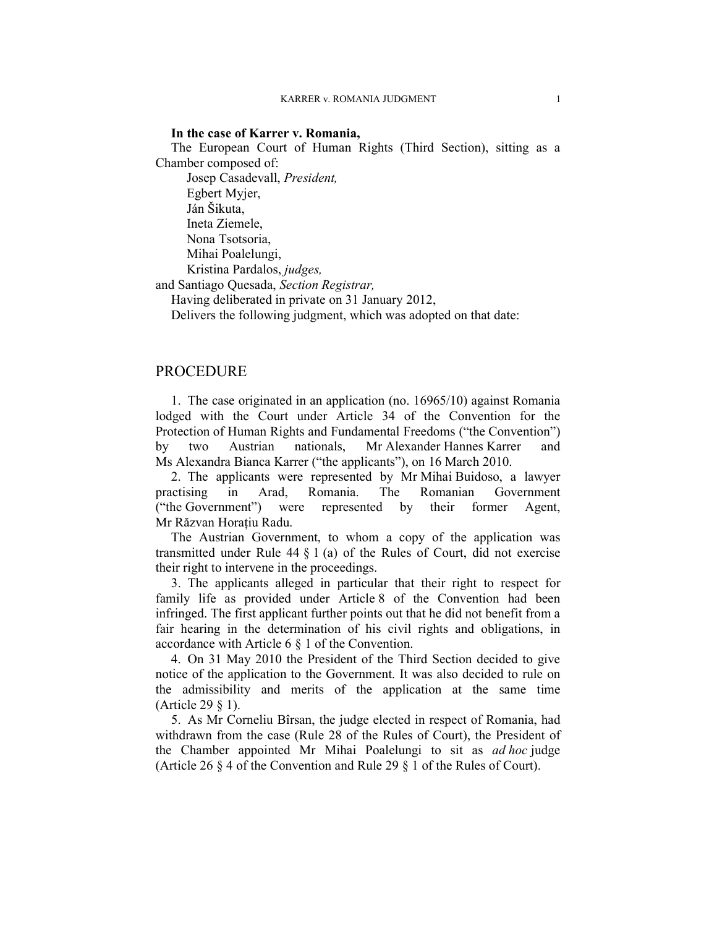### In the case of Karrer v. Romania,

The European Court of Human Rights (Third Section), sitting as a Chamber composed of:

 Josep Casadevall, President, Egbert Myjer, Ján Šikuta, Ineta Ziemele, Nona Tsotsoria, Mihai Poalelungi, Kristina Pardalos, judges,

and Santiago Quesada, Section Registrar,

Having deliberated in private on 31 January 2012,

Delivers the following judgment, which was adopted on that date:

# PROCEDURE

1. The case originated in an application (no. 16965/10) against Romania lodged with the Court under Article 34 of the Convention for the Protection of Human Rights and Fundamental Freedoms ("the Convention") by two Austrian nationals, Mr Alexander Hannes Karrer and Ms Alexandra Bianca Karrer ("the applicants"), on 16 March 2010.

2. The applicants were represented by Mr Mihai Buidoso, a lawyer practising in Arad, Romania. The Romanian Government ("the Government") were represented by their former Agent, Mr Răzvan Horatiu Radu.

The Austrian Government, to whom a copy of the application was transmitted under Rule  $44 \tS 1$  (a) of the Rules of Court, did not exercise their right to intervene in the proceedings.

3. The applicants alleged in particular that their right to respect for family life as provided under Article 8 of the Convention had been infringed. The first applicant further points out that he did not benefit from a fair hearing in the determination of his civil rights and obligations, in accordance with Article 6 § 1 of the Convention.

4. On 31 May 2010 the President of the Third Section decided to give notice of the application to the Government. It was also decided to rule on the admissibility and merits of the application at the same time (Article 29 § 1).

5. As Mr Corneliu Bîrsan, the judge elected in respect of Romania, had withdrawn from the case (Rule 28 of the Rules of Court), the President of the Chamber appointed Mr Mihai Poalelungi to sit as ad hoc judge (Article 26 § 4 of the Convention and Rule 29 § 1 of the Rules of Court).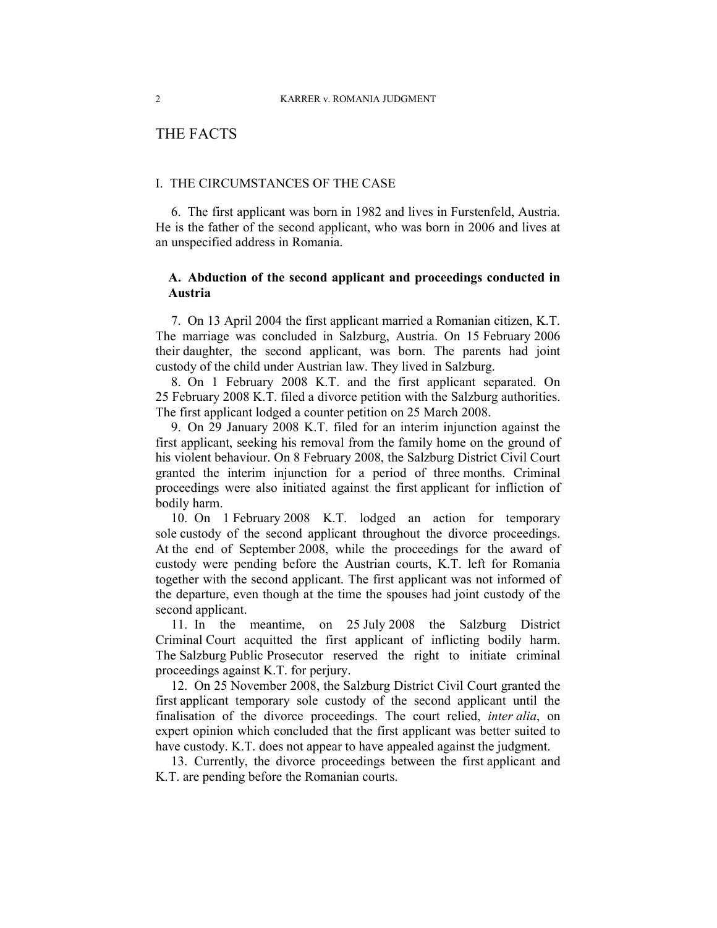# THE FACTS

# I. THE CIRCUMSTANCES OF THE CASE

6. The first applicant was born in 1982 and lives in Furstenfeld, Austria. He is the father of the second applicant, who was born in 2006 and lives at an unspecified address in Romania.

# A. Abduction of the second applicant and proceedings conducted in Austria

7. On 13 April 2004 the first applicant married a Romanian citizen, K.T. The marriage was concluded in Salzburg, Austria. On 15 February 2006 their daughter, the second applicant, was born. The parents had joint custody of the child under Austrian law. They lived in Salzburg.

8. On 1 February 2008 K.T. and the first applicant separated. On 25 February 2008 K.T. filed a divorce petition with the Salzburg authorities. The first applicant lodged a counter petition on 25 March 2008.

9. On 29 January 2008 K.T. filed for an interim injunction against the first applicant, seeking his removal from the family home on the ground of his violent behaviour. On 8 February 2008, the Salzburg District Civil Court granted the interim injunction for a period of three months. Criminal proceedings were also initiated against the first applicant for infliction of bodily harm.

10. On 1 February 2008 K.T. lodged an action for temporary sole custody of the second applicant throughout the divorce proceedings. At the end of September 2008, while the proceedings for the award of custody were pending before the Austrian courts, K.T. left for Romania together with the second applicant. The first applicant was not informed of the departure, even though at the time the spouses had joint custody of the second applicant.

11. In the meantime, on 25 July 2008 the Salzburg District Criminal Court acquitted the first applicant of inflicting bodily harm. The Salzburg Public Prosecutor reserved the right to initiate criminal proceedings against K.T. for perjury.

12. On 25 November 2008, the Salzburg District Civil Court granted the first applicant temporary sole custody of the second applicant until the finalisation of the divorce proceedings. The court relied, inter alia, on expert opinion which concluded that the first applicant was better suited to have custody. K.T. does not appear to have appealed against the judgment.

13. Currently, the divorce proceedings between the first applicant and K.T. are pending before the Romanian courts.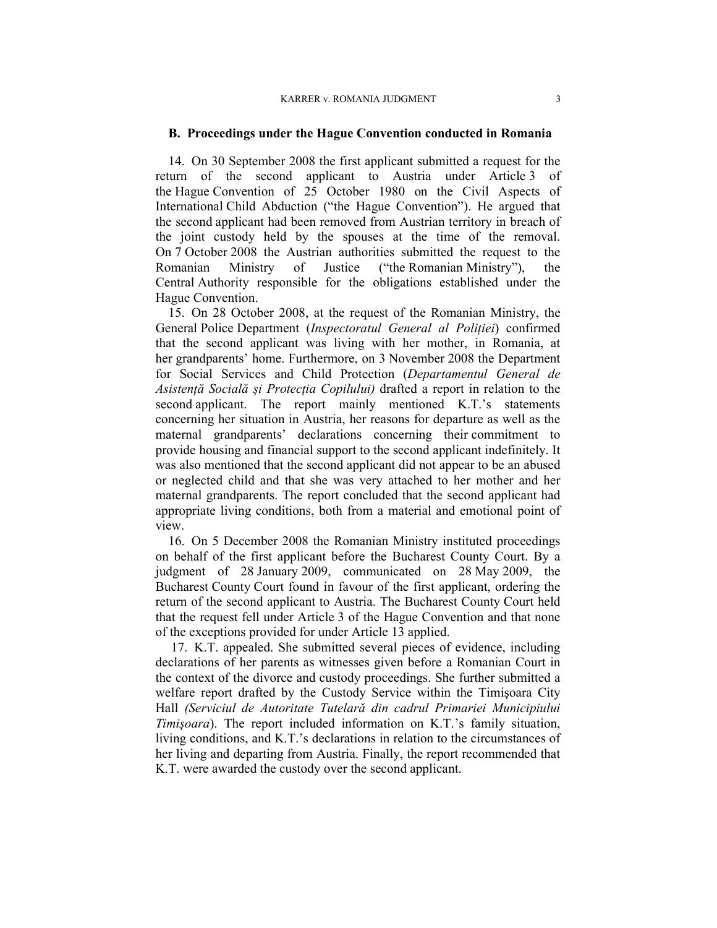### B. Proceedings under the Hague Convention conducted in Romania

14. On 30 September 2008 the first applicant submitted a request for the return of the second applicant to Austria under Article 3 of the Hague Convention of 25 October 1980 on the Civil Aspects of International Child Abduction ("the Hague Convention"). He argued that the second applicant had been removed from Austrian territory in breach of the joint custody held by the spouses at the time of the removal. On 7 October 2008 the Austrian authorities submitted the request to the Romanian Ministry of Justice ("the Romanian Ministry"), the Central Authority responsible for the obligations established under the Hague Convention.

15. On 28 October 2008, at the request of the Romanian Ministry, the General Police Department (Inspectoratul General al Poliției) confirmed that the second applicant was living with her mother, in Romania, at her grandparents' home. Furthermore, on 3 November 2008 the Department for Social Services and Child Protection (Departamentul General de Asistentă Socială și Protectia Copilului) drafted a report in relation to the second applicant. The report mainly mentioned K.T.'s statements concerning her situation in Austria, her reasons for departure as well as the maternal grandparents' declarations concerning their commitment to provide housing and financial support to the second applicant indefinitely. It was also mentioned that the second applicant did not appear to be an abused or neglected child and that she was very attached to her mother and her maternal grandparents. The report concluded that the second applicant had appropriate living conditions, both from a material and emotional point of view.

16. On 5 December 2008 the Romanian Ministry instituted proceedings on behalf of the first applicant before the Bucharest County Court. By a judgment of 28 January 2009, communicated on 28 May 2009, the Bucharest County Court found in favour of the first applicant, ordering the return of the second applicant to Austria. The Bucharest County Court held that the request fell under Article 3 of the Hague Convention and that none of the exceptions provided for under Article 13 applied.

17. K.T. appealed. She submitted several pieces of evidence, including declarations of her parents as witnesses given before a Romanian Court in the context of the divorce and custody proceedings. She further submitted a welfare report drafted by the Custody Service within the Timişoara City Hall (Serviciul de Autoritate Tutelară din cadrul Primariei Municipiului Timişoara). The report included information on K.T.'s family situation, living conditions, and K.T.'s declarations in relation to the circumstances of her living and departing from Austria. Finally, the report recommended that K.T. were awarded the custody over the second applicant.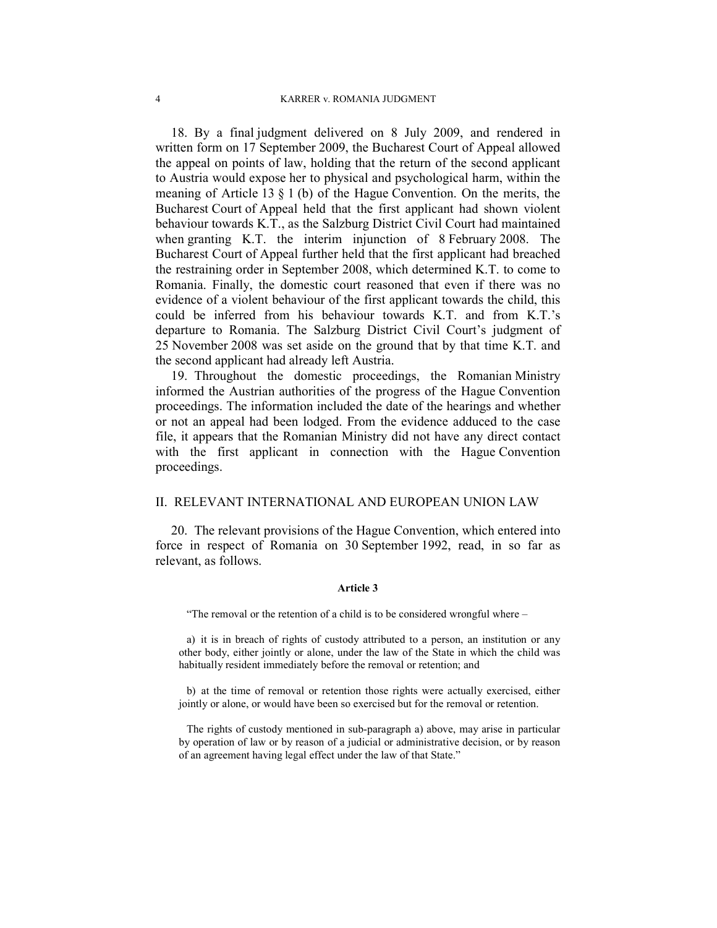18. By a final judgment delivered on 8 July 2009, and rendered in written form on 17 September 2009, the Bucharest Court of Appeal allowed the appeal on points of law, holding that the return of the second applicant to Austria would expose her to physical and psychological harm, within the meaning of Article 13 § 1 (b) of the Hague Convention. On the merits, the Bucharest Court of Appeal held that the first applicant had shown violent behaviour towards K.T., as the Salzburg District Civil Court had maintained when granting K.T. the interim injunction of 8 February 2008. The Bucharest Court of Appeal further held that the first applicant had breached the restraining order in September 2008, which determined K.T. to come to Romania. Finally, the domestic court reasoned that even if there was no evidence of a violent behaviour of the first applicant towards the child, this could be inferred from his behaviour towards K.T. and from K.T.'s departure to Romania. The Salzburg District Civil Court's judgment of 25 November 2008 was set aside on the ground that by that time K.T. and the second applicant had already left Austria.

19. Throughout the domestic proceedings, the Romanian Ministry informed the Austrian authorities of the progress of the Hague Convention proceedings. The information included the date of the hearings and whether or not an appeal had been lodged. From the evidence adduced to the case file, it appears that the Romanian Ministry did not have any direct contact with the first applicant in connection with the Hague Convention proceedings.

# II. RELEVANT INTERNATIONAL AND EUROPEAN UNION LAW

20. The relevant provisions of the Hague Convention, which entered into force in respect of Romania on 30 September 1992, read, in so far as relevant, as follows.

### Article 3

"The removal or the retention of a child is to be considered wrongful where –

a) it is in breach of rights of custody attributed to a person, an institution or any other body, either jointly or alone, under the law of the State in which the child was habitually resident immediately before the removal or retention; and

b) at the time of removal or retention those rights were actually exercised, either jointly or alone, or would have been so exercised but for the removal or retention.

The rights of custody mentioned in sub-paragraph a) above, may arise in particular by operation of law or by reason of a judicial or administrative decision, or by reason of an agreement having legal effect under the law of that State."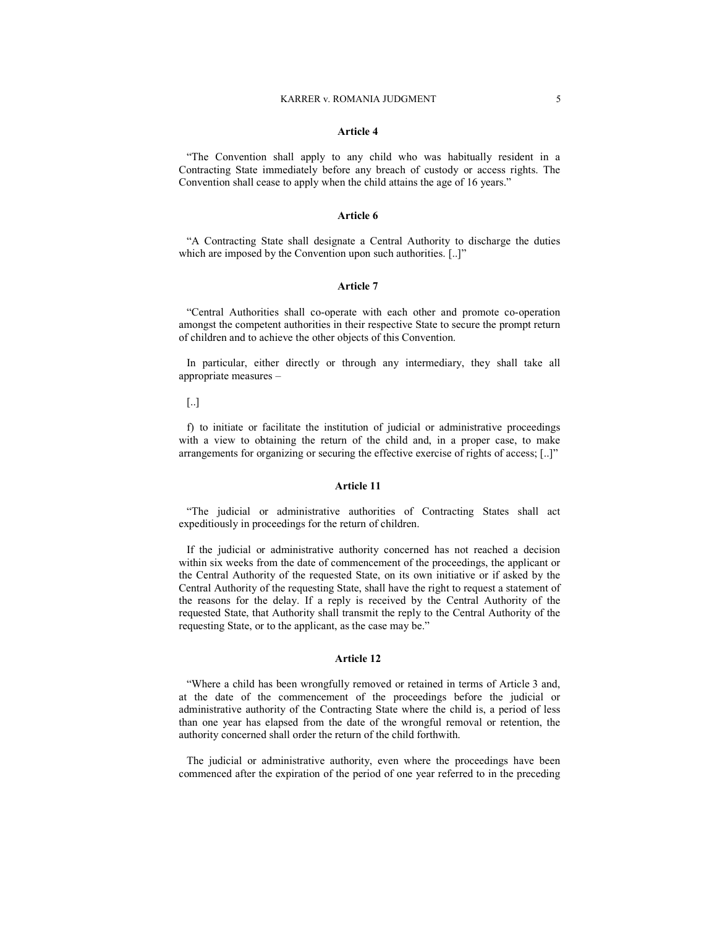### Article 4

"The Convention shall apply to any child who was habitually resident in a Contracting State immediately before any breach of custody or access rights. The Convention shall cease to apply when the child attains the age of 16 years."

### Article 6

"A Contracting State shall designate a Central Authority to discharge the duties which are imposed by the Convention upon such authorities. [..]"

#### Article 7

"Central Authorities shall co-operate with each other and promote co-operation amongst the competent authorities in their respective State to secure the prompt return of children and to achieve the other objects of this Convention.

In particular, either directly or through any intermediary, they shall take all appropriate measures –

[..]

f) to initiate or facilitate the institution of judicial or administrative proceedings with a view to obtaining the return of the child and, in a proper case, to make arrangements for organizing or securing the effective exercise of rights of access; [..]"

#### Article 11

"The judicial or administrative authorities of Contracting States shall act expeditiously in proceedings for the return of children.

If the judicial or administrative authority concerned has not reached a decision within six weeks from the date of commencement of the proceedings, the applicant or the Central Authority of the requested State, on its own initiative or if asked by the Central Authority of the requesting State, shall have the right to request a statement of the reasons for the delay. If a reply is received by the Central Authority of the requested State, that Authority shall transmit the reply to the Central Authority of the requesting State, or to the applicant, as the case may be."

#### Article 12

"Where a child has been wrongfully removed or retained in terms of Article 3 and, at the date of the commencement of the proceedings before the judicial or administrative authority of the Contracting State where the child is, a period of less than one year has elapsed from the date of the wrongful removal or retention, the authority concerned shall order the return of the child forthwith.

The judicial or administrative authority, even where the proceedings have been commenced after the expiration of the period of one year referred to in the preceding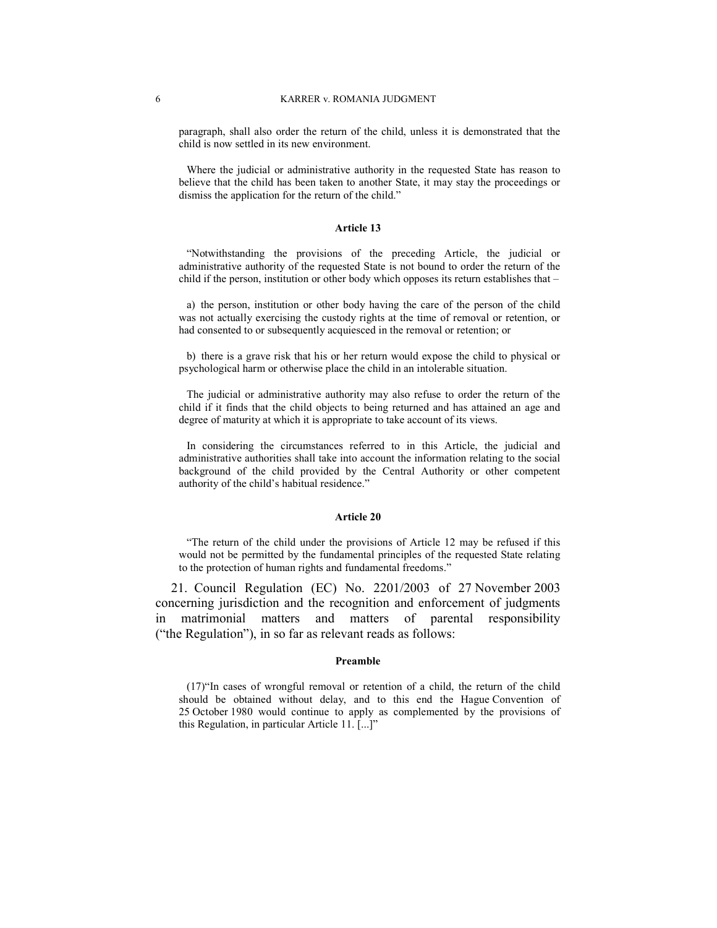paragraph, shall also order the return of the child, unless it is demonstrated that the child is now settled in its new environment.

Where the judicial or administrative authority in the requested State has reason to believe that the child has been taken to another State, it may stay the proceedings or dismiss the application for the return of the child."

#### Article 13

"Notwithstanding the provisions of the preceding Article, the judicial or administrative authority of the requested State is not bound to order the return of the child if the person, institution or other body which opposes its return establishes that –

a) the person, institution or other body having the care of the person of the child was not actually exercising the custody rights at the time of removal or retention, or had consented to or subsequently acquiesced in the removal or retention; or

b) there is a grave risk that his or her return would expose the child to physical or psychological harm or otherwise place the child in an intolerable situation.

The judicial or administrative authority may also refuse to order the return of the child if it finds that the child objects to being returned and has attained an age and degree of maturity at which it is appropriate to take account of its views.

In considering the circumstances referred to in this Article, the judicial and administrative authorities shall take into account the information relating to the social background of the child provided by the Central Authority or other competent authority of the child's habitual residence."

### Article 20

"The return of the child under the provisions of Article 12 may be refused if this would not be permitted by the fundamental principles of the requested State relating to the protection of human rights and fundamental freedoms."

21. Council Regulation (EC) No. 2201/2003 of 27 November 2003 concerning jurisdiction and the recognition and enforcement of judgments in matrimonial matters and matters of parental responsibility ("the Regulation"), in so far as relevant reads as follows:

#### Preamble

(17)"In cases of wrongful removal or retention of a child, the return of the child should be obtained without delay, and to this end the Hague Convention of 25 October 1980 would continue to apply as complemented by the provisions of this Regulation, in particular Article 11. [...]"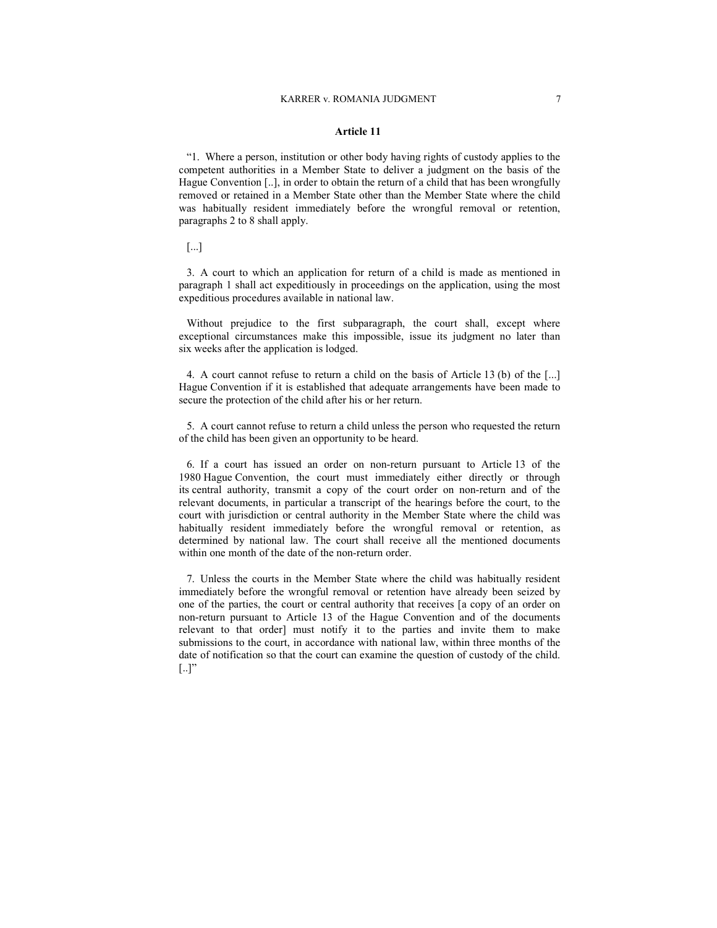### Article 11

"1. Where a person, institution or other body having rights of custody applies to the competent authorities in a Member State to deliver a judgment on the basis of the Hague Convention [..], in order to obtain the return of a child that has been wrongfully removed or retained in a Member State other than the Member State where the child was habitually resident immediately before the wrongful removal or retention, paragraphs 2 to 8 shall apply.

#### [...]

3. A court to which an application for return of a child is made as mentioned in paragraph 1 shall act expeditiously in proceedings on the application, using the most expeditious procedures available in national law.

Without prejudice to the first subparagraph, the court shall, except where exceptional circumstances make this impossible, issue its judgment no later than six weeks after the application is lodged.

4. A court cannot refuse to return a child on the basis of Article 13 (b) of the [...] Hague Convention if it is established that adequate arrangements have been made to secure the protection of the child after his or her return.

5. A court cannot refuse to return a child unless the person who requested the return of the child has been given an opportunity to be heard.

6. If a court has issued an order on non-return pursuant to Article 13 of the 1980 Hague Convention, the court must immediately either directly or through its central authority, transmit a copy of the court order on non-return and of the relevant documents, in particular a transcript of the hearings before the court, to the court with jurisdiction or central authority in the Member State where the child was habitually resident immediately before the wrongful removal or retention, as determined by national law. The court shall receive all the mentioned documents within one month of the date of the non-return order.

7. Unless the courts in the Member State where the child was habitually resident immediately before the wrongful removal or retention have already been seized by one of the parties, the court or central authority that receives [a copy of an order on non-return pursuant to Article 13 of the Hague Convention and of the documents relevant to that order] must notify it to the parties and invite them to make submissions to the court, in accordance with national law, within three months of the date of notification so that the court can examine the question of custody of the child.  $\lbrack$ ..]"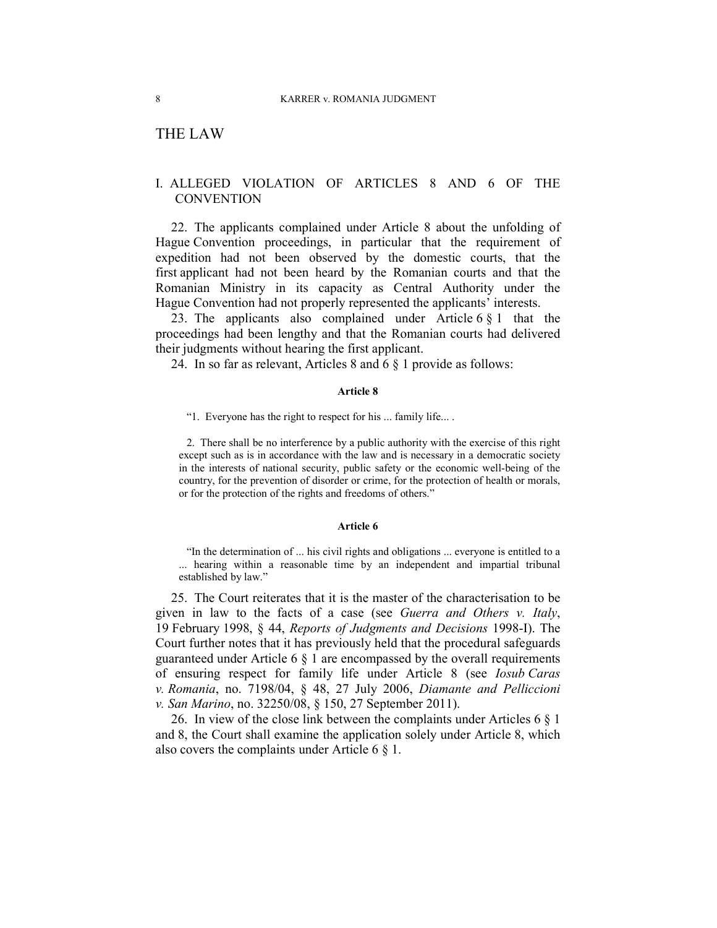# THE LAW

# I. ALLEGED VIOLATION OF ARTICLES 8 AND 6 OF THE **CONVENTION**

22. The applicants complained under Article 8 about the unfolding of Hague Convention proceedings, in particular that the requirement of expedition had not been observed by the domestic courts, that the first applicant had not been heard by the Romanian courts and that the Romanian Ministry in its capacity as Central Authority under the Hague Convention had not properly represented the applicants' interests.

23. The applicants also complained under Article  $6 \tbinom{8}{1}$  that the proceedings had been lengthy and that the Romanian courts had delivered their judgments without hearing the first applicant.

24. In so far as relevant, Articles 8 and 6 § 1 provide as follows:

### Article 8

"1. Everyone has the right to respect for his ... family life... .

2. There shall be no interference by a public authority with the exercise of this right except such as is in accordance with the law and is necessary in a democratic society in the interests of national security, public safety or the economic well-being of the country, for the prevention of disorder or crime, for the protection of health or morals, or for the protection of the rights and freedoms of others."

### Article 6

"In the determination of ... his civil rights and obligations ... everyone is entitled to a ... hearing within a reasonable time by an independent and impartial tribunal established by law."

25. The Court reiterates that it is the master of the characterisation to be given in law to the facts of a case (see Guerra and Others  $v$ . Italy, 19 February 1998, § 44, Reports of Judgments and Decisions 1998-I). The Court further notes that it has previously held that the procedural safeguards guaranteed under Article 6 § 1 are encompassed by the overall requirements of ensuring respect for family life under Article 8 (see Iosub Caras v. Romania, no. 7198/04, § 48, 27 July 2006, Diamante and Pelliccioni v. San Marino, no. 32250/08, § 150, 27 September 2011).

26. In view of the close link between the complaints under Articles 6 § 1 and 8, the Court shall examine the application solely under Article 8, which also covers the complaints under Article 6 § 1.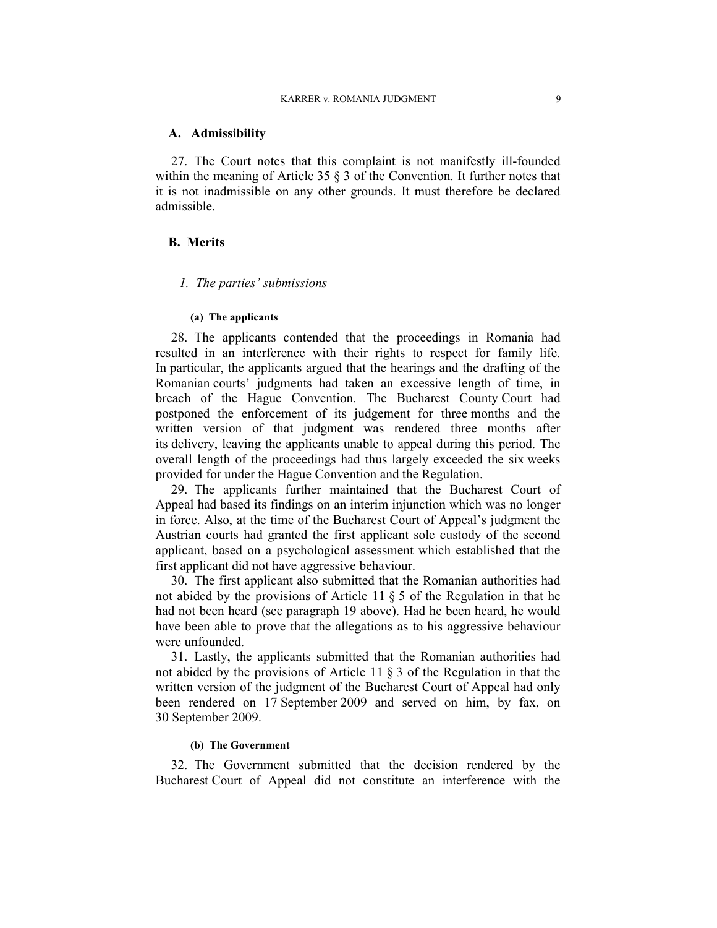### A. Admissibility

27. The Court notes that this complaint is not manifestly ill-founded within the meaning of Article 35  $\S$  3 of the Convention. It further notes that it is not inadmissible on any other grounds. It must therefore be declared admissible.

# B. Merits

# 1. The parties' submissions

### (a) The applicants

28. The applicants contended that the proceedings in Romania had resulted in an interference with their rights to respect for family life. In particular, the applicants argued that the hearings and the drafting of the Romanian courts' judgments had taken an excessive length of time, in breach of the Hague Convention. The Bucharest County Court had postponed the enforcement of its judgement for three months and the written version of that judgment was rendered three months after its delivery, leaving the applicants unable to appeal during this period. The overall length of the proceedings had thus largely exceeded the six weeks provided for under the Hague Convention and the Regulation.

29. The applicants further maintained that the Bucharest Court of Appeal had based its findings on an interim injunction which was no longer in force. Also, at the time of the Bucharest Court of Appeal's judgment the Austrian courts had granted the first applicant sole custody of the second applicant, based on a psychological assessment which established that the first applicant did not have aggressive behaviour.

30. The first applicant also submitted that the Romanian authorities had not abided by the provisions of Article 11 § 5 of the Regulation in that he had not been heard (see paragraph 19 above). Had he been heard, he would have been able to prove that the allegations as to his aggressive behaviour were unfounded.

31. Lastly, the applicants submitted that the Romanian authorities had not abided by the provisions of Article 11 § 3 of the Regulation in that the written version of the judgment of the Bucharest Court of Appeal had only been rendered on 17 September 2009 and served on him, by fax, on 30 September 2009.

# (b) The Government

32. The Government submitted that the decision rendered by the Bucharest Court of Appeal did not constitute an interference with the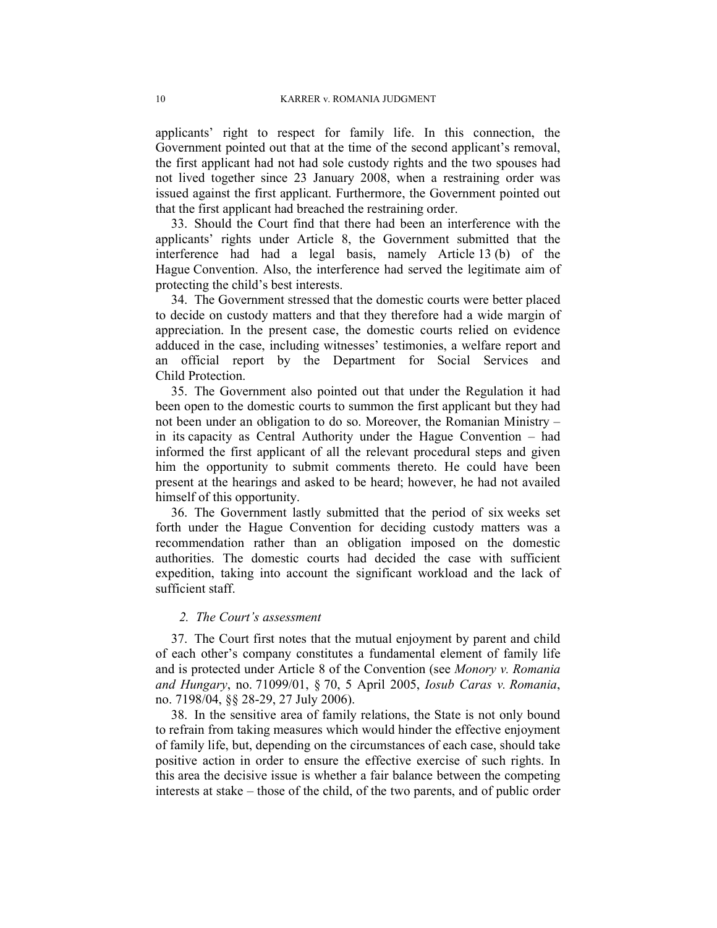applicants' right to respect for family life. In this connection, the Government pointed out that at the time of the second applicant's removal, the first applicant had not had sole custody rights and the two spouses had not lived together since 23 January 2008, when a restraining order was issued against the first applicant. Furthermore, the Government pointed out that the first applicant had breached the restraining order.

33. Should the Court find that there had been an interference with the applicants' rights under Article 8, the Government submitted that the interference had had a legal basis, namely Article 13 (b) of the Hague Convention. Also, the interference had served the legitimate aim of protecting the child's best interests.

34. The Government stressed that the domestic courts were better placed to decide on custody matters and that they therefore had a wide margin of appreciation. In the present case, the domestic courts relied on evidence adduced in the case, including witnesses' testimonies, a welfare report and an official report by the Department for Social Services and Child Protection.

35. The Government also pointed out that under the Regulation it had been open to the domestic courts to summon the first applicant but they had not been under an obligation to do so. Moreover, the Romanian Ministry – in its capacity as Central Authority under the Hague Convention – had informed the first applicant of all the relevant procedural steps and given him the opportunity to submit comments thereto. He could have been present at the hearings and asked to be heard; however, he had not availed himself of this opportunity.

36. The Government lastly submitted that the period of six weeks set forth under the Hague Convention for deciding custody matters was a recommendation rather than an obligation imposed on the domestic authorities. The domestic courts had decided the case with sufficient expedition, taking into account the significant workload and the lack of sufficient staff.

### 2. The Court's assessment

37. The Court first notes that the mutual enjoyment by parent and child of each other's company constitutes a fundamental element of family life and is protected under Article 8 of the Convention (see Monory v. Romania and Hungary, no. 71099/01, § 70, 5 April 2005, Iosub Caras v. Romania, no. 7198/04, §§ 28-29, 27 July 2006).

38. In the sensitive area of family relations, the State is not only bound to refrain from taking measures which would hinder the effective enjoyment of family life, but, depending on the circumstances of each case, should take positive action in order to ensure the effective exercise of such rights. In this area the decisive issue is whether a fair balance between the competing interests at stake – those of the child, of the two parents, and of public order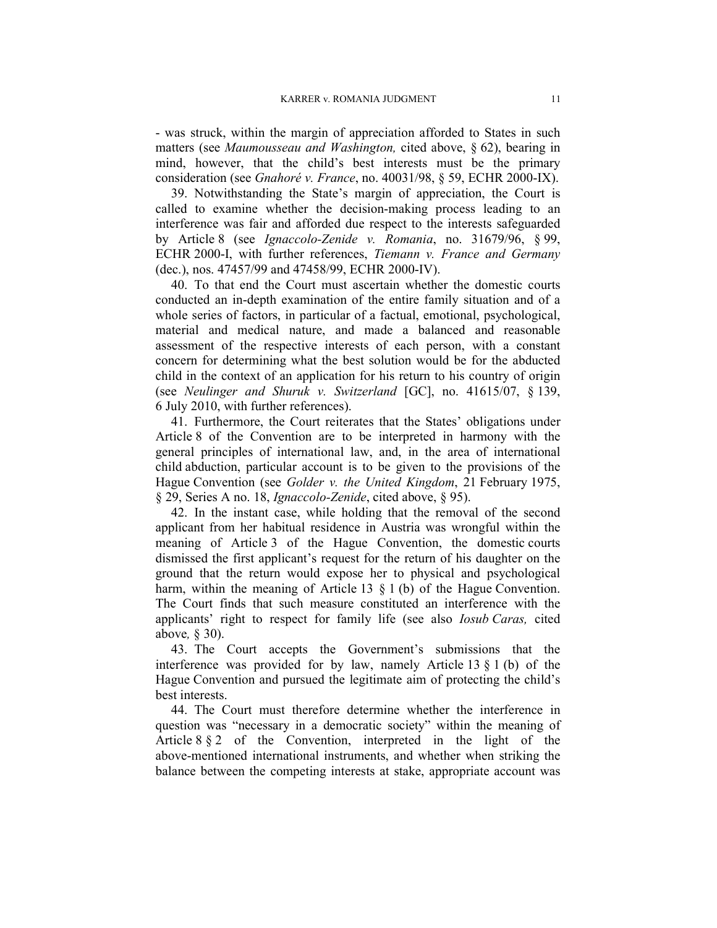- was struck, within the margin of appreciation afforded to States in such matters (see *Maumousseau and Washington*, cited above, § 62), bearing in mind, however, that the child's best interests must be the primary consideration (see Gnahoré v. France, no. 40031/98, § 59, ECHR 2000-IX).

39. Notwithstanding the State's margin of appreciation, the Court is called to examine whether the decision-making process leading to an interference was fair and afforded due respect to the interests safeguarded by Article 8 (see Ignaccolo-Zenide v. Romania, no. 31679/96, § 99, ECHR 2000-I, with further references, Tiemann v. France and Germany (dec.), nos. 47457/99 and 47458/99, ECHR 2000-IV).

40. To that end the Court must ascertain whether the domestic courts conducted an in-depth examination of the entire family situation and of a whole series of factors, in particular of a factual, emotional, psychological, material and medical nature, and made a balanced and reasonable assessment of the respective interests of each person, with a constant concern for determining what the best solution would be for the abducted child in the context of an application for his return to his country of origin (see Neulinger and Shuruk v. Switzerland [GC], no. 41615/07, § 139, 6 July 2010, with further references).

41. Furthermore, the Court reiterates that the States' obligations under Article 8 of the Convention are to be interpreted in harmony with the general principles of international law, and, in the area of international child abduction, particular account is to be given to the provisions of the Hague Convention (see Golder v. the United Kingdom, 21 February 1975, § 29, Series A no. 18, Ignaccolo-Zenide, cited above, § 95).

42. In the instant case, while holding that the removal of the second applicant from her habitual residence in Austria was wrongful within the meaning of Article 3 of the Hague Convention, the domestic courts dismissed the first applicant's request for the return of his daughter on the ground that the return would expose her to physical and psychological harm, within the meaning of Article 13  $\S$  1 (b) of the Hague Convention. The Court finds that such measure constituted an interference with the applicants' right to respect for family life (see also Iosub Caras, cited above, § 30).

43. The Court accepts the Government's submissions that the interference was provided for by law, namely Article 13 § 1 (b) of the Hague Convention and pursued the legitimate aim of protecting the child's best interests.

44. The Court must therefore determine whether the interference in question was "necessary in a democratic society" within the meaning of Article 8 § 2 of the Convention, interpreted in the light of the above-mentioned international instruments, and whether when striking the balance between the competing interests at stake, appropriate account was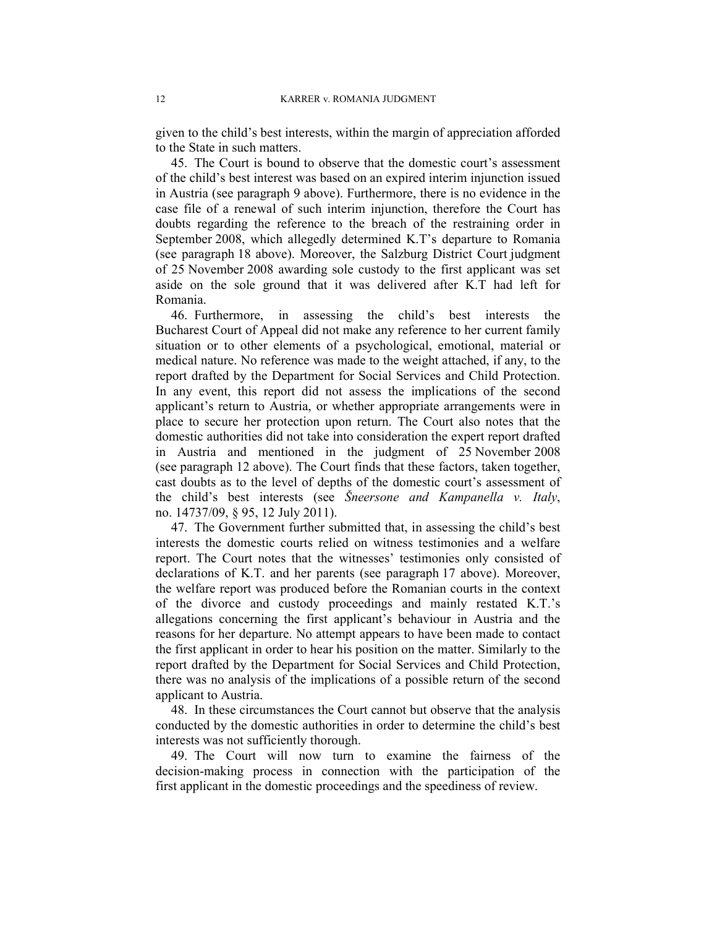given to the child's best interests, within the margin of appreciation afforded to the State in such matters.

45. The Court is bound to observe that the domestic court's assessment of the child's best interest was based on an expired interim injunction issued in Austria (see paragraph 9 above). Furthermore, there is no evidence in the case file of a renewal of such interim injunction, therefore the Court has doubts regarding the reference to the breach of the restraining order in September 2008, which allegedly determined K.T's departure to Romania (see paragraph 18 above). Moreover, the Salzburg District Court judgment of 25 November 2008 awarding sole custody to the first applicant was set aside on the sole ground that it was delivered after K.T had left for Romania.

46. Furthermore, in assessing the child's best interests the Bucharest Court of Appeal did not make any reference to her current family situation or to other elements of a psychological, emotional, material or medical nature. No reference was made to the weight attached, if any, to the report drafted by the Department for Social Services and Child Protection. In any event, this report did not assess the implications of the second applicant's return to Austria, or whether appropriate arrangements were in place to secure her protection upon return. The Court also notes that the domestic authorities did not take into consideration the expert report drafted in Austria and mentioned in the judgment of 25 November 2008 (see paragraph 12 above). The Court finds that these factors, taken together, cast doubts as to the level of depths of the domestic court's assessment of the child's best interests (see *Šneersone and Kampanella v. Italy*, no. 14737/09, § 95, 12 July 2011).

47. The Government further submitted that, in assessing the child's best interests the domestic courts relied on witness testimonies and a welfare report. The Court notes that the witnesses' testimonies only consisted of declarations of K.T. and her parents (see paragraph 17 above). Moreover, the welfare report was produced before the Romanian courts in the context of the divorce and custody proceedings and mainly restated K.T.'s allegations concerning the first applicant's behaviour in Austria and the reasons for her departure. No attempt appears to have been made to contact the first applicant in order to hear his position on the matter. Similarly to the report drafted by the Department for Social Services and Child Protection, there was no analysis of the implications of a possible return of the second applicant to Austria.

48. In these circumstances the Court cannot but observe that the analysis conducted by the domestic authorities in order to determine the child's best interests was not sufficiently thorough.

49. The Court will now turn to examine the fairness of the decision-making process in connection with the participation of the first applicant in the domestic proceedings and the speediness of review.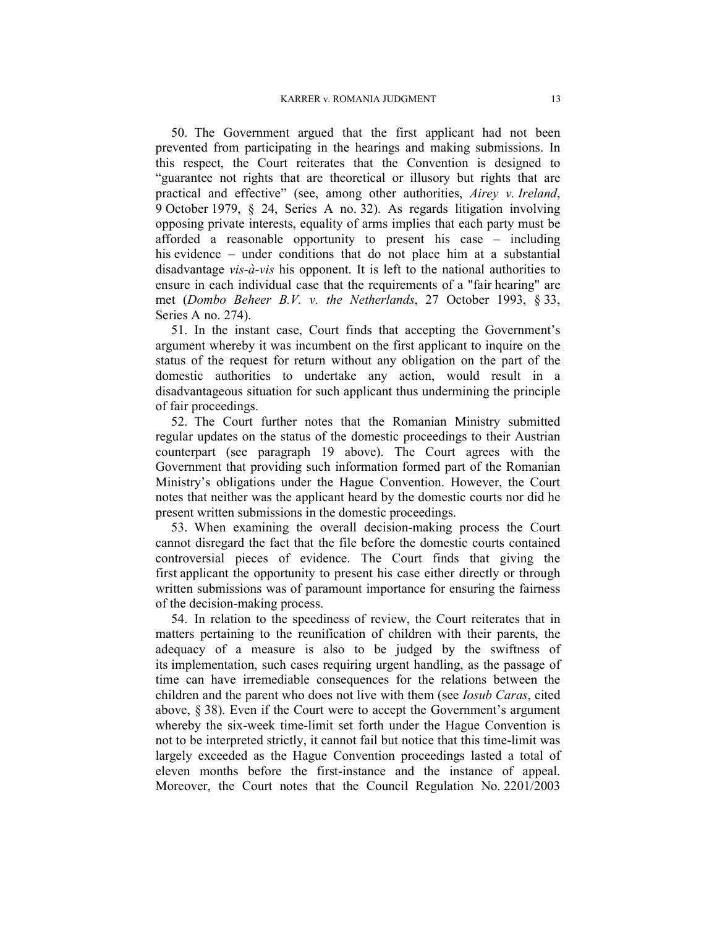50. The Government argued that the first applicant had not been prevented from participating in the hearings and making submissions. In this respect, the Court reiterates that the Convention is designed to "guarantee not rights that are theoretical or illusory but rights that are practical and effective" (see, among other authorities, Airey v. Ireland, 9 October 1979, § 24, Series A no. 32). As regards litigation involving opposing private interests, equality of arms implies that each party must be afforded a reasonable opportunity to present his case – including his evidence – under conditions that do not place him at a substantial disadvantage vis-à-vis his opponent. It is left to the national authorities to ensure in each individual case that the requirements of a "fair hearing" are met (Dombo Beheer B.V. v. the Netherlands, 27 October 1993, § 33, Series A no. 274).

51. In the instant case, Court finds that accepting the Government's argument whereby it was incumbent on the first applicant to inquire on the status of the request for return without any obligation on the part of the domestic authorities to undertake any action, would result in a disadvantageous situation for such applicant thus undermining the principle of fair proceedings.

52. The Court further notes that the Romanian Ministry submitted regular updates on the status of the domestic proceedings to their Austrian counterpart (see paragraph 19 above). The Court agrees with the Government that providing such information formed part of the Romanian Ministry's obligations under the Hague Convention. However, the Court notes that neither was the applicant heard by the domestic courts nor did he present written submissions in the domestic proceedings.

53. When examining the overall decision-making process the Court cannot disregard the fact that the file before the domestic courts contained controversial pieces of evidence. The Court finds that giving the first applicant the opportunity to present his case either directly or through written submissions was of paramount importance for ensuring the fairness of the decision-making process.

54. In relation to the speediness of review, the Court reiterates that in matters pertaining to the reunification of children with their parents, the adequacy of a measure is also to be judged by the swiftness of its implementation, such cases requiring urgent handling, as the passage of time can have irremediable consequences for the relations between the children and the parent who does not live with them (see *Iosub Caras*, cited above, § 38). Even if the Court were to accept the Government's argument whereby the six-week time-limit set forth under the Hague Convention is not to be interpreted strictly, it cannot fail but notice that this time-limit was largely exceeded as the Hague Convention proceedings lasted a total of eleven months before the first-instance and the instance of appeal. Moreover, the Court notes that the Council Regulation No. 2201/2003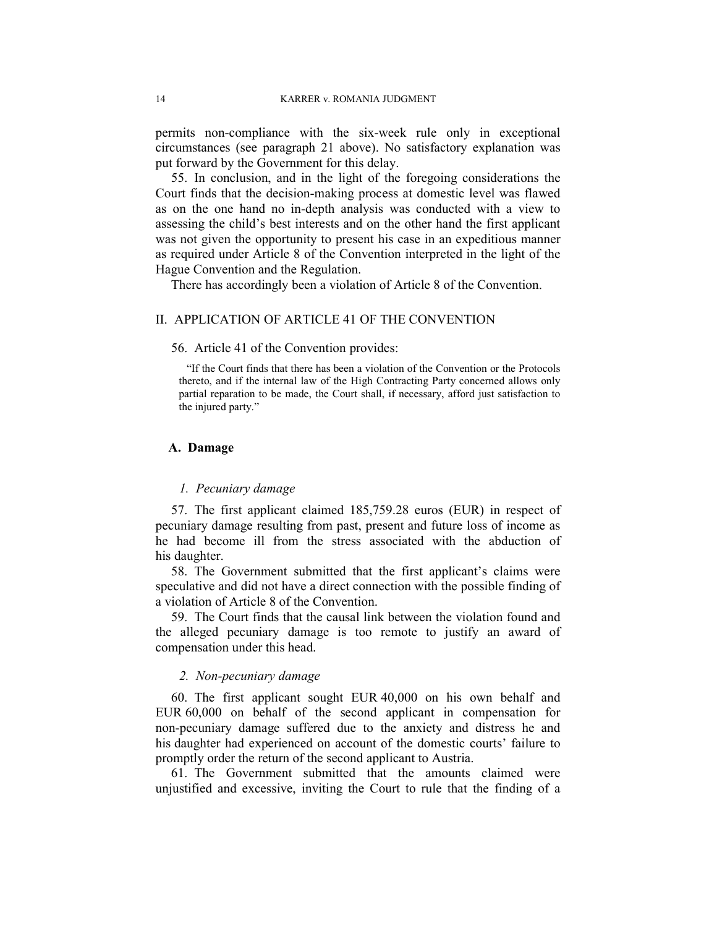permits non-compliance with the six-week rule only in exceptional circumstances (see paragraph 21 above). No satisfactory explanation was put forward by the Government for this delay.

55. In conclusion, and in the light of the foregoing considerations the Court finds that the decision-making process at domestic level was flawed as on the one hand no in-depth analysis was conducted with a view to assessing the child's best interests and on the other hand the first applicant was not given the opportunity to present his case in an expeditious manner as required under Article 8 of the Convention interpreted in the light of the Hague Convention and the Regulation.

There has accordingly been a violation of Article 8 of the Convention.

# II. APPLICATION OF ARTICLE 41 OF THE CONVENTION

### 56. Article 41 of the Convention provides:

"If the Court finds that there has been a violation of the Convention or the Protocols thereto, and if the internal law of the High Contracting Party concerned allows only partial reparation to be made, the Court shall, if necessary, afford just satisfaction to the injured party."

# A. Damage

### 1. Pecuniary damage

57. The first applicant claimed 185,759.28 euros (EUR) in respect of pecuniary damage resulting from past, present and future loss of income as he had become ill from the stress associated with the abduction of his daughter.

58. The Government submitted that the first applicant's claims were speculative and did not have a direct connection with the possible finding of a violation of Article 8 of the Convention.

59. The Court finds that the causal link between the violation found and the alleged pecuniary damage is too remote to justify an award of compensation under this head.

# 2. Non-pecuniary damage

60. The first applicant sought EUR 40,000 on his own behalf and EUR 60,000 on behalf of the second applicant in compensation for non-pecuniary damage suffered due to the anxiety and distress he and his daughter had experienced on account of the domestic courts' failure to promptly order the return of the second applicant to Austria.

61. The Government submitted that the amounts claimed were unjustified and excessive, inviting the Court to rule that the finding of a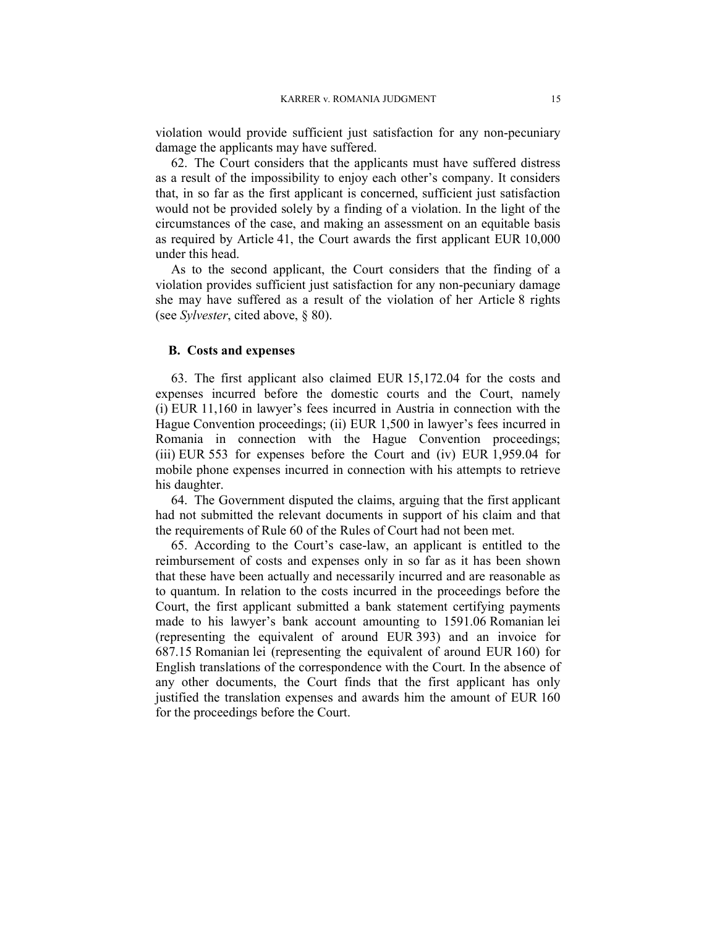violation would provide sufficient just satisfaction for any non-pecuniary damage the applicants may have suffered.

62. The Court considers that the applicants must have suffered distress as a result of the impossibility to enjoy each other's company. It considers that, in so far as the first applicant is concerned, sufficient just satisfaction would not be provided solely by a finding of a violation. In the light of the circumstances of the case, and making an assessment on an equitable basis as required by Article 41, the Court awards the first applicant EUR 10,000 under this head.

As to the second applicant, the Court considers that the finding of a violation provides sufficient just satisfaction for any non-pecuniary damage she may have suffered as a result of the violation of her Article 8 rights (see Sylvester, cited above, § 80).

### B. Costs and expenses

63. The first applicant also claimed EUR 15,172.04 for the costs and expenses incurred before the domestic courts and the Court, namely (i) EUR 11,160 in lawyer's fees incurred in Austria in connection with the Hague Convention proceedings; (ii) EUR 1,500 in lawyer's fees incurred in Romania in connection with the Hague Convention proceedings; (iii) EUR 553 for expenses before the Court and (iv) EUR  $1,959.04$  for mobile phone expenses incurred in connection with his attempts to retrieve his daughter.

64. The Government disputed the claims, arguing that the first applicant had not submitted the relevant documents in support of his claim and that the requirements of Rule 60 of the Rules of Court had not been met.

65. According to the Court's case-law, an applicant is entitled to the reimbursement of costs and expenses only in so far as it has been shown that these have been actually and necessarily incurred and are reasonable as to quantum. In relation to the costs incurred in the proceedings before the Court, the first applicant submitted a bank statement certifying payments made to his lawyer's bank account amounting to 1591.06 Romanian lei (representing the equivalent of around EUR 393) and an invoice for 687.15 Romanian lei (representing the equivalent of around EUR 160) for English translations of the correspondence with the Court. In the absence of any other documents, the Court finds that the first applicant has only justified the translation expenses and awards him the amount of EUR 160 for the proceedings before the Court.